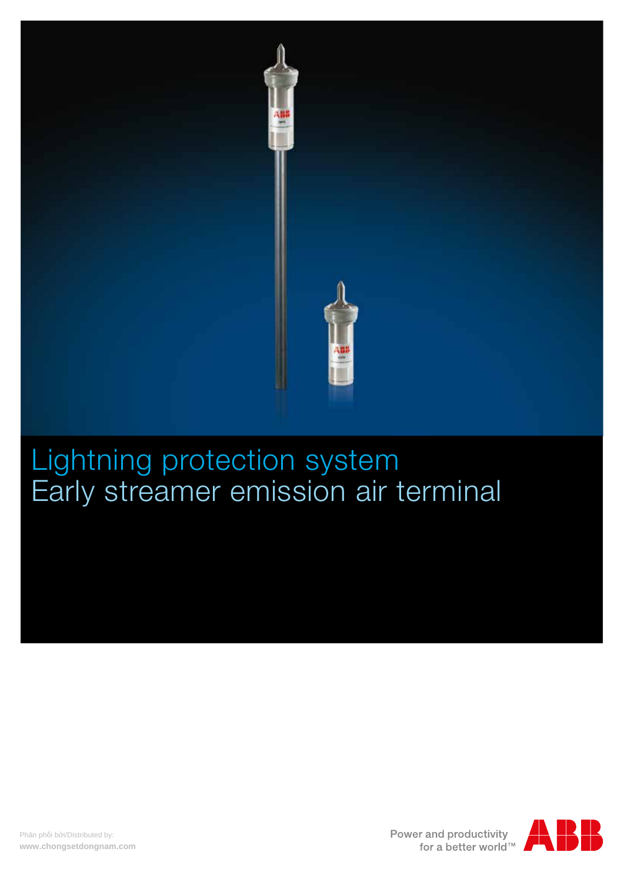

# Lightning protection system Early streamer emission air terminal



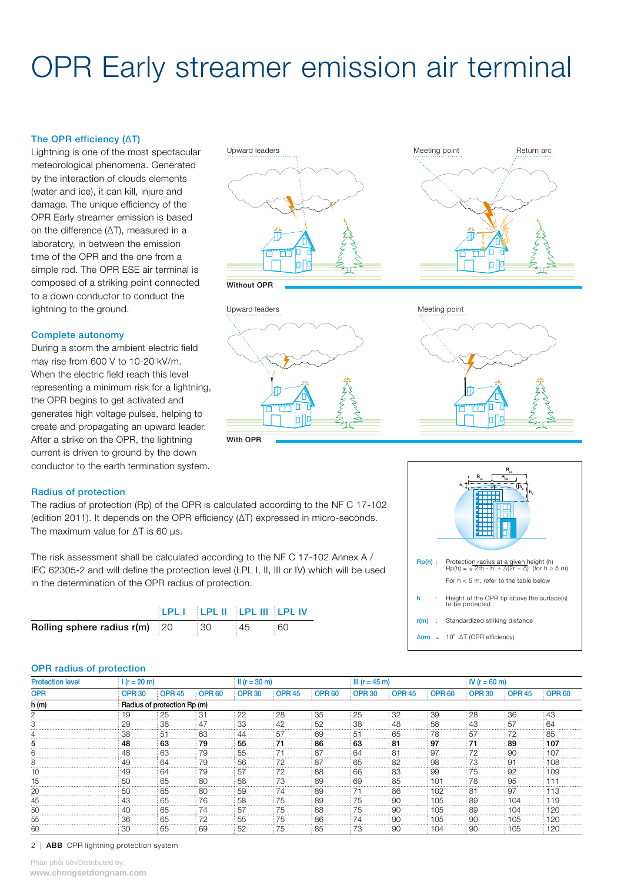# OPR Early streamer emission air terminal

# The OPR efficiency (ΔT)

Lightning is one of the most spectacular meteorological phenomena. Generated by the interaction of clouds elements (water and ice), it can kill, injure and damage. The unique efficiency of the OPR Early streamer emission is based on the difference (ΔT), measured in a laboratory, in between the emission time of the OPR and the one from a simple rod. The OPR ESE air terminal is composed of a striking point connected to a down conductor to conduct the lightning to the ground. The contract of the ground variable values of the Upward leaders and the Meeting point

### Complete autonomy

During a storm the ambient electric field may rise from 600 V to 10-20 kV/m. When the electric field reach this level representing a minimum risk for a lightning, the OPR begins to get activated and generates high voltage pulses, helping to create and propagating an upward leader. After a strike on the OPR, the lightning current is driven to ground by the down conductor to the earth termination system.











### Radius of protection

The radius of protection (Rp) of the OPR is calculated according to the NF C 17-102 (edition 2011). It depends on the OPR efficiency (ΔT) expressed in micro-seconds. The maximum value for ΔT is 60 µs.

The risk assessment shall be calculated according to the NF C 17-102 Annex A / IEC 62305-2 and will define the protection level (LPL I, II, III or IV) which will be used in the determination of the OPR radius of protection.

|                                 | <b>ELPL FEEDLIFFERE III ELPL IV</b> |     |      |  |
|---------------------------------|-------------------------------------|-----|------|--|
| Rolling sphere radius $r(m)$ 20 |                                     | :30 | : 45 |  |



#### OPR radius of protection

| <b>Protection level</b> |                             | $1(r = 20 m)$ |               |               | $\parallel$ II (r = 30 m) |               | $\ln(r = 45 \text{ m})$ |               | $N(r = 60 m)$ |               |               |                   |
|-------------------------|-----------------------------|---------------|---------------|---------------|---------------------------|---------------|-------------------------|---------------|---------------|---------------|---------------|-------------------|
| <b>OPR</b>              | <b>OPR 30</b>               | <b>OPR 45</b> | <b>OPR 60</b> | OPR 30        | <b>OPR 45</b>             | <b>OPR 60</b> | <b>OPR 30</b>           | <b>OPR 45</b> | <b>OPR 60</b> | <b>OPR 30</b> | <b>OPR 45</b> | OPR <sub>60</sub> |
| h (m)                   | Radius of protection Rp (m) |               |               |               |                           |               |                         |               |               |               |               |                   |
|                         | .9                          | 25            | ᠊             | 22            | 28                        | 35            | 25                      | 32            | 39            | 28            | 36            | 43                |
|                         |                             | 38            |               | 33            |                           |               | 38                      | 48            | .58           |               |               |                   |
|                         |                             |               | 63            |               |                           | 69            | 51                      | 65            | א י           |               |               |                   |
|                         | 48                          | 63            | 79            | 55            |                           | 86            | 63                      | 81            | 97            |               | 89            | 10.               |
|                         |                             | 63            | 79            | 55            |                           | 87            | 64                      | 81            | OJ.           |               | 90            |                   |
|                         |                             | 64            | 79            | .56           |                           |               | 65                      | 82            | 98            | ۰, 1          |               |                   |
|                         |                             |               |               |               |                           |               | 66                      | 83            |               |               |               |                   |
|                         | -50                         | 65            | 80            | : 58          |                           | 89            | -69                     | 85            |               | 78            | 95            |                   |
|                         |                             | 65            | 8C            | .59           |                           | 89            |                         | 86            | 102           | R-            | 97            |                   |
|                         |                             | -65           | 76            | -58           |                           | 89            | 75                      | 90            | 105           | 89            | 104           |                   |
|                         |                             | 65            |               | $.5^{\prime}$ |                           | 88            | 75                      | 90            | 105           | 89            | 104           | 12C               |
|                         |                             | 65            |               | .55           |                           | 86            | 74                      | 90            | 105           |               | 105           | 20                |
| 60                      |                             | -65           | 69            | -52           | 75                        | 85            | 73                      | 90            | 104           | 90            | 105           | 120               |

#### 2 | ABB OPR lightning protection system

Phân phối bởi/Distributed by:<br>**www.chongsetdongnam.com**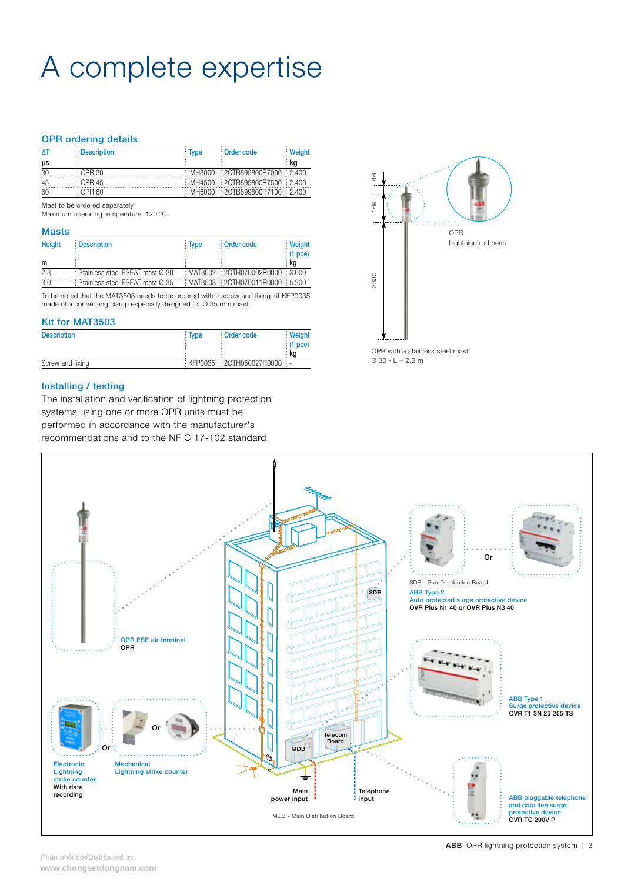# A complete expertise

# OPR ordering details

| ΔT | <b>Description</b> | <b>Type</b> | Order code                    | <b>Weight</b> |
|----|--------------------|-------------|-------------------------------|---------------|
| μs |                    |             |                               | ka            |
| 30 | OPR 30             |             | IMH3000 2CTB899800R7000 2.400 |               |
| 45 | : OPR 45           |             | IMH4500 2CTB899800R7500 2.400 |               |
| 60 | OPR 60.            |             | IMH6000 2CTB899800R7100 2.400 |               |

Mast to be ordered separately.

Maximum operating temperature: 120 °C.

#### Masts

| <b>Height</b> | <b>Description</b>                | : Type | : Order code                  | Weight<br>$(1$ pce) |
|---------------|-----------------------------------|--------|-------------------------------|---------------------|
| m             |                                   |        |                               | : ka                |
| 2.3           | Stainless steel ESEAT mast Ø 30   |        | MAT3002 2CTH070002R0000 3.000 |                     |
| 3.0           | : Stainless steel ESEAT mast Ø 35 |        | MAT3503 2CTH070011R0000 5.200 |                     |

To be noted that the MAT3503 needs to be ordered with it screw and fixing kit KFP0035 made of a connecting clamp especially designed for Ø 35 mm mast.

### Kit for MAT3503

| <b>Description</b> | Type | Order code              | Weight          |
|--------------------|------|-------------------------|-----------------|
|                    |      |                         | $(1$ pce)<br>ka |
| Screw and fixing   |      | KFP0035 2CTH050027R0000 |                 |

## Installing / testing

The installation and verification of lightning protection systems using one or more OPR units must be performed in accordance with the manufacturer's recommendations and to the NF C 17-102 standard.